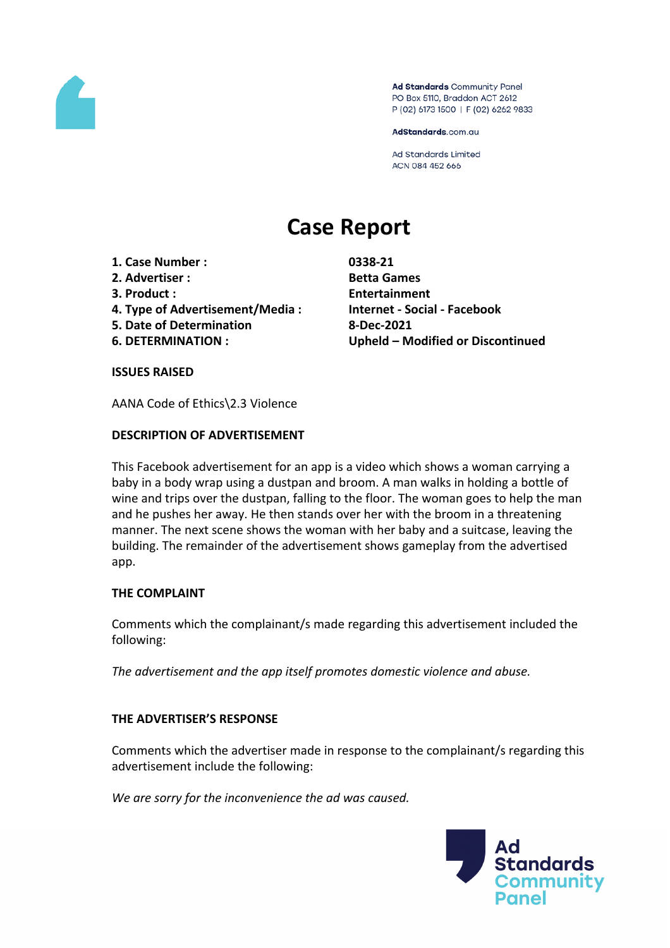

Ad Standards Community Panel PO Box 5110, Braddon ACT 2612 P (02) 6173 1500 | F (02) 6262 9833

AdStandards.com.au

Ad Standards Limited ACN 084 452 666

# **Case Report**

- **1. Case Number : 0338-21**
- **2. Advertiser : Betta Games**
- 
- **4. Type of Advertisement/Media : Internet - Social - Facebook**
- **5. Date of Determination 8-Dec-2021**
- 

**3. Product : Entertainment 6. DETERMINATION : Upheld – Modified or Discontinued**

#### **ISSUES RAISED**

AANA Code of Ethics\2.3 Violence

## **DESCRIPTION OF ADVERTISEMENT**

This Facebook advertisement for an app is a video which shows a woman carrying a baby in a body wrap using a dustpan and broom. A man walks in holding a bottle of wine and trips over the dustpan, falling to the floor. The woman goes to help the man and he pushes her away. He then stands over her with the broom in a threatening manner. The next scene shows the woman with her baby and a suitcase, leaving the building. The remainder of the advertisement shows gameplay from the advertised app.

## **THE COMPLAINT**

Comments which the complainant/s made regarding this advertisement included the following:

*The advertisement and the app itself promotes domestic violence and abuse.*

## **THE ADVERTISER'S RESPONSE**

Comments which the advertiser made in response to the complainant/s regarding this advertisement include the following:

*We are sorry for the inconvenience the ad was caused.*

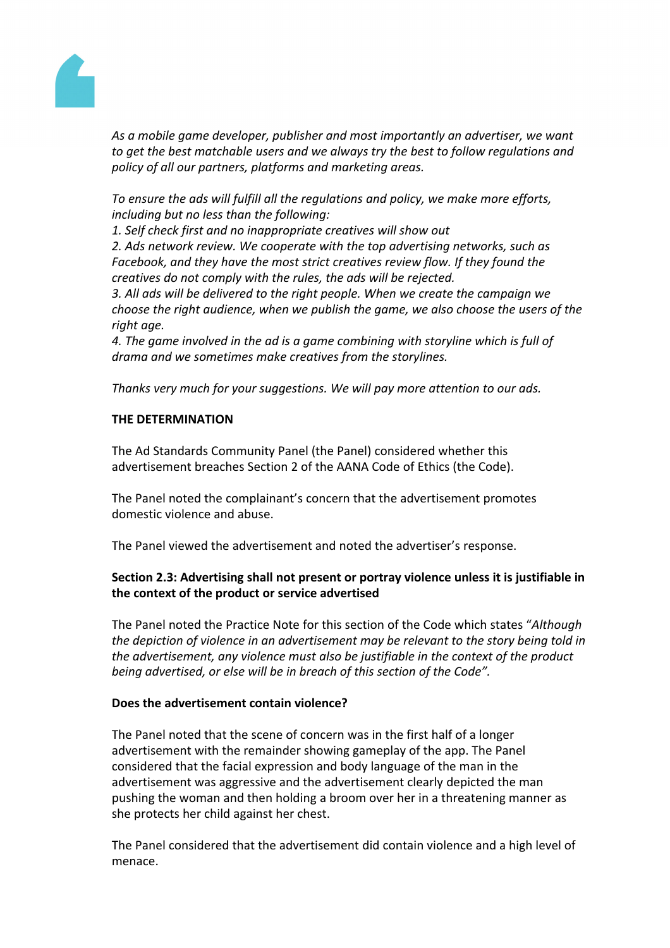

*As a mobile game developer, publisher and most importantly an advertiser, we want to get the best matchable users and we always try the best to follow regulations and policy of all our partners, platforms and marketing areas.*

*To ensure the ads will fulfill all the regulations and policy, we make more efforts, including but no less than the following:*

*1. Self check first and no inappropriate creatives will show out*

*2. Ads network review. We cooperate with the top advertising networks, such as Facebook, and they have the most strict creatives review flow. If they found the creatives do not comply with the rules, the ads will be rejected.*

*3. All ads will be delivered to the right people. When we create the campaign we choose the right audience, when we publish the game, we also choose the users of the right age.*

*4. The game involved in the ad is a game combining with storyline which is full of drama and we sometimes make creatives from the storylines.*

*Thanks very much for your suggestions. We will pay more attention to our ads.*

## **THE DETERMINATION**

The Ad Standards Community Panel (the Panel) considered whether this advertisement breaches Section 2 of the AANA Code of Ethics (the Code).

The Panel noted the complainant's concern that the advertisement promotes domestic violence and abuse.

The Panel viewed the advertisement and noted the advertiser's response.

# **Section 2.3: Advertising shall not present or portray violence unless it is justifiable in the context of the product or service advertised**

The Panel noted the Practice Note for this section of the Code which states "*Although the depiction of violence in an advertisement may be relevant to the story being told in the advertisement, any violence must also be justifiable in the context of the product being advertised, or else will be in breach of this section of the Code".*

## **Does the advertisement contain violence?**

The Panel noted that the scene of concern was in the first half of a longer advertisement with the remainder showing gameplay of the app. The Panel considered that the facial expression and body language of the man in the advertisement was aggressive and the advertisement clearly depicted the man pushing the woman and then holding a broom over her in a threatening manner as she protects her child against her chest.

The Panel considered that the advertisement did contain violence and a high level of menace.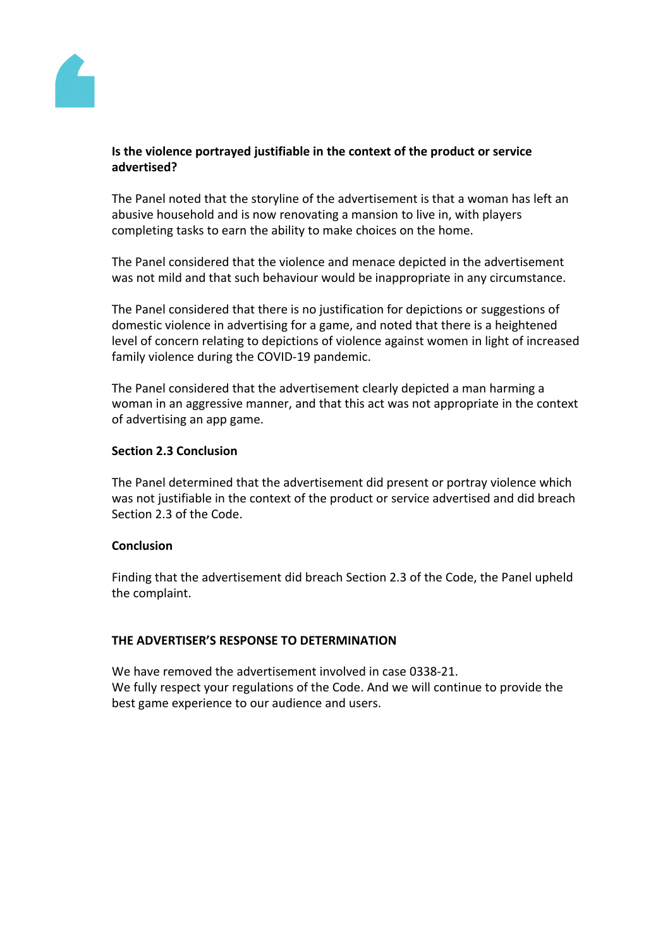

## **Is the violence portrayed justifiable in the context of the product or service advertised?**

The Panel noted that the storyline of the advertisement is that a woman has left an abusive household and is now renovating a mansion to live in, with players completing tasks to earn the ability to make choices on the home.

The Panel considered that the violence and menace depicted in the advertisement was not mild and that such behaviour would be inappropriate in any circumstance.

The Panel considered that there is no justification for depictions or suggestions of domestic violence in advertising for a game, and noted that there is a heightened level of concern relating to depictions of violence against women in light of increased family violence during the COVID-19 pandemic.

The Panel considered that the advertisement clearly depicted a man harming a woman in an aggressive manner, and that this act was not appropriate in the context of advertising an app game.

## **Section 2.3 Conclusion**

The Panel determined that the advertisement did present or portray violence which was not justifiable in the context of the product or service advertised and did breach Section 2.3 of the Code.

#### **Conclusion**

Finding that the advertisement did breach Section 2.3 of the Code, the Panel upheld the complaint.

## **THE ADVERTISER'S RESPONSE TO DETERMINATION**

We have removed the advertisement involved in case 0338-21. We fully respect your regulations of the Code. And we will continue to provide the best game experience to our audience and users.